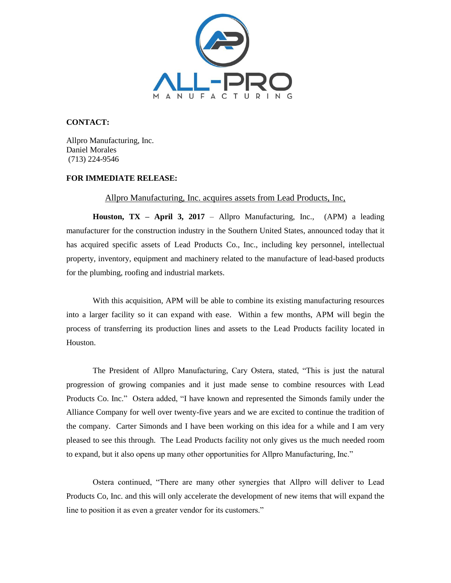

## **CONTACT:**

Allpro Manufacturing, Inc. Daniel Morales (713) 224-9546

## **FOR IMMEDIATE RELEASE:**

## Allpro Manufacturing, Inc. acquires assets from Lead Products, Inc,

**Houston, TX – April 3, 2017** – Allpro Manufacturing, Inc., (APM) a leading manufacturer for the construction industry in the Southern United States, announced today that it has acquired specific assets of Lead Products Co., Inc., including key personnel, intellectual property, inventory, equipment and machinery related to the manufacture of lead-based products for the plumbing, roofing and industrial markets.

With this acquisition, APM will be able to combine its existing manufacturing resources into a larger facility so it can expand with ease. Within a few months, APM will begin the process of transferring its production lines and assets to the Lead Products facility located in Houston.

The President of Allpro Manufacturing, Cary Ostera, stated, "This is just the natural progression of growing companies and it just made sense to combine resources with Lead Products Co. Inc." Ostera added, "I have known and represented the Simonds family under the Alliance Company for well over twenty-five years and we are excited to continue the tradition of the company. Carter Simonds and I have been working on this idea for a while and I am very pleased to see this through. The Lead Products facility not only gives us the much needed room to expand, but it also opens up many other opportunities for Allpro Manufacturing, Inc."

Ostera continued, "There are many other synergies that Allpro will deliver to Lead Products Co, Inc. and this will only accelerate the development of new items that will expand the line to position it as even a greater vendor for its customers."